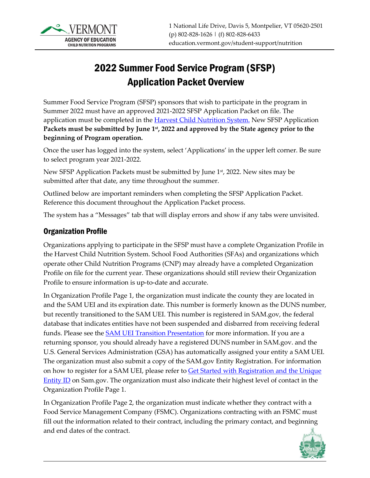

# 2022 Summer Food Service Program (SFSP) Application Packet Overview

Summer Food Service Program (SFSP) sponsors that wish to participate in the program in Summer 2022 must have an approved 2021-2022 SFSP Application Packet on file. The application must be completed in the **Harvest Child Nutrition System**. New SFSP Application **Packets must be submitted by June 1st, 2022 and approved by the State agency prior to the beginning of Program operation.**

Once the user has logged into the system, select 'Applications' in the upper left corner. Be sure to select program year 2021-2022.

New SFSP Application Packets must be submitted by June 1st, 2022. New sites may be submitted after that date, any time throughout the summer.

Outlined below are important reminders when completing the SFSP Application Packet. Reference this document throughout the Application Packet process.

The system has a "Messages" tab that will display errors and show if any tabs were unvisited.

## Organization Profile

Organizations applying to participate in the SFSP must have a complete Organization Profile in the Harvest Child Nutrition System. School Food Authorities (SFAs) and organizations which operate other Child Nutrition Programs (CNP) may already have a completed Organization Profile on file for the current year. These organizations should still review their Organization Profile to ensure information is up-to-date and accurate.

In Organization Profile Page 1, the organization must indicate the county they are located in and the SAM UEI and its expiration date. This number is formerly known as the DUNS number, but recently transitioned to the SAM UEI. This number is registered in SAM.gov, the federal database that indicates entities have not been suspended and disbarred from receiving federal funds. Please see the **SAM UEI Transition Presentation** for more information. If you are a returning sponsor, you should already have a registered DUNS number in SAM.gov. and the U.S. General Services Administration (GSA) has automatically assigned your entity a SAM UEI. The organization must also submit a copy of the SAM.gov Entity Registration. For information on how to register for a SAM UEI, please refer to **Get Started with Registration and the Unique** [Entity ID](https://sam.gov/content/entity-registration) on Sam.gov. The organization must also indicate their highest level of contact in the Organization Profile Page 1.

In Organization Profile Page 2, the organization must indicate whether they contract with a Food Service Management Company (FSMC). Organizations contracting with an FSMC must fill out the information related to their contract, including the primary contact, and beginning and end dates of the contract.

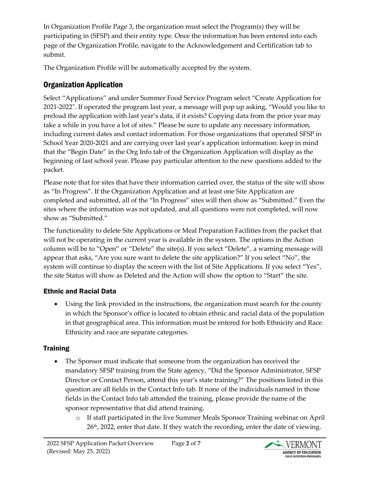In Organization Profile Page 3, the organization must select the Program(s) they will be participating in (SFSP) and their entity type. Once the information has been entered into each page of the Organization Profile, navigate to the Acknowledgement and Certification tab to submit.

The Organization Profile will be automatically accepted by the system.

# Organization Application

Select "Applications" and under Summer Food Service Program select "Create Application for 2021-2022". If operated the program last year, a message will pop up asking, "Would you like to preload the application with last year's data, if it exists? Copying data from the prior year may take a while in you have a lot of sites." Please be sure to update any necessary information, including current dates and contact information. For those organizations that operated SFSP in School Year 2020-2021 and are carrying over last year's application information: keep in mind that the "Begin Date" in the Org Info tab of the Organization Application will display as the beginning of last school year. Please pay particular attention to the new questions added to the packet.

Please note that for sites that have their information carried over, the status of the site will show as "In Progress". If the Organization Application and at least one Site Application are completed and submitted, all of the "In Progress" sites will then show as "Submitted." Even the sites where the information was not updated, and all questions were not completed, will now show as "Submitted."

The functionality to delete Site Applications or Meal Preparation Facilities from the packet that will not be operating in the current year is available in the system. The options in the Action column will be to "Open" or "Delete" the site(s). If you select "Delete", a warning message will appear that asks, "Are you sure want to delete the site application?" If you select "No", the system will continue to display the screen with the list of Site Applications. If you select "Yes", the site Status will show as Deleted and the Action will show the option to "Start" the site.

# Ethnic and Racial Data

• Using the link provided in the instructions, the organization must search for the county in which the Sponsor's office is located to obtain ethnic and racial data of the population in that geographical area. This information must be entered for both Ethnicity and Race. Ethnicity and race are separate categories.

# **Training**

- The Sponsor must indicate that someone from the organization has received the mandatory SFSP training from the State agency, "Did the Sponsor Administrator, SFSP Director or Contact Person, attend this year's state training?" The positions listed in this question are all fields in the Contact Info tab. If none of the individuals named in those fields in the Contact Info tab attended the training, please provide the name of the sponsor representative that did attend training.
	- o If staff participated in the live Summer Meals Sponsor Training webinar on April 26<sup>th</sup>, 2022, enter that date. If they watch the recording, enter the date of viewing.

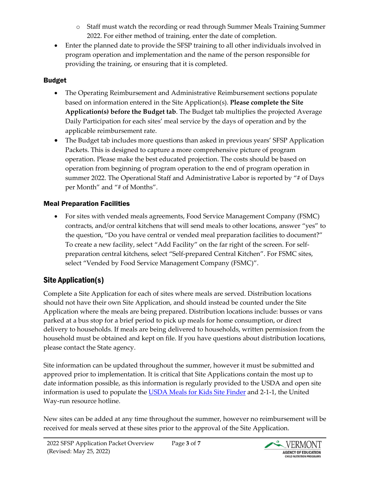- o Staff must watch the recording or read through Summer Meals Training Summer 2022. For either method of training, enter the date of completion.
- Enter the planned date to provide the SFSP training to all other individuals involved in program operation and implementation and the name of the person responsible for providing the training, or ensuring that it is completed.

#### Budget

- The Operating Reimbursement and Administrative Reimbursement sections populate based on information entered in the Site Application(s). **Please complete the Site Application(s) before the Budget tab**. The Budget tab multiplies the projected Average Daily Participation for each sites' meal service by the days of operation and by the applicable reimbursement rate.
- The Budget tab includes more questions than asked in previous years' SFSP Application Packets. This is designed to capture a more comprehensive picture of program operation. Please make the best educated projection. The costs should be based on operation from beginning of program operation to the end of program operation in summer 2022. The Operational Staff and Administrative Labor is reported by "# of Days per Month" and "# of Months".

## Meal Preparation Facilities

• For sites with vended meals agreements, Food Service Management Company (FSMC) contracts, and/or central kitchens that will send meals to other locations, answer "yes" to the question, "Do you have central or vended meal preparation facilities to document?" To create a new facility, select "Add Facility" on the far right of the screen. For selfpreparation central kitchens, select "Self-prepared Central Kitchen". For FSMC sites, select "Vended by Food Service Management Company (FSMC)".

# Site Application(s)

Complete a Site Application for each of sites where meals are served. Distribution locations should not have their own Site Application, and should instead be counted under the Site Application where the meals are being prepared. Distribution locations include: busses or vans parked at a bus stop for a brief period to pick up meals for home consumption, or direct delivery to households. If meals are being delivered to households, written permission from the household must be obtained and kept on file. If you have questions about distribution locations, please contact the State agency.

Site information can be updated throughout the summer, however it must be submitted and approved prior to implementation. It is critical that Site Applications contain the most up to date information possible, as this information is regularly provided to the USDA and open site information is used to populate the [USDA Meals for Kids Site Finder](https://www.fns.usda.gov/meals4kids) and 2-1-1, the United Way-run resource hotline.

New sites can be added at any time throughout the summer, however no reimbursement will be received for meals served at these sites prior to the approval of the Site Application.

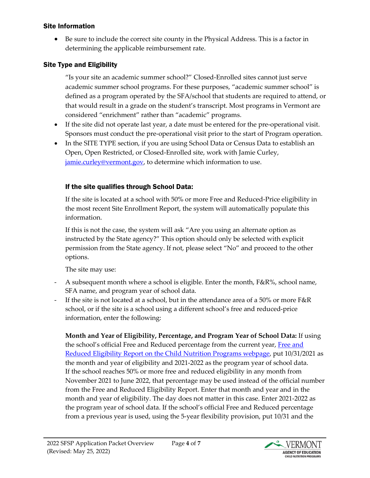#### Site Information

• Be sure to include the correct site county in the Physical Address. This is a factor in determining the applicable reimbursement rate.

#### Site Type and Eligibility

"Is your site an academic summer school?" Closed-Enrolled sites cannot just serve academic summer school programs. For these purposes, "academic summer school" is defined as a program operated by the SFA/school that students are required to attend, or that would result in a grade on the student's transcript. Most programs in Vermont are considered "enrichment" rather than "academic" programs.

- If the site did not operate last year, a date must be entered for the pre-operational visit. Sponsors must conduct the pre-operational visit prior to the start of Program operation.
- In the SITE TYPE section, if you are using School Data or Census Data to establish an Open, Open Restricted, or Closed-Enrolled site, work with Jamie Curley, [jamie.curley@vermont.gov,](mailto:jamie.curley@vermont.gov) to determine which information to use.

#### If the site qualifies through School Data:

If the site is located at a school with 50% or more Free and Reduced-Price eligibility in the most recent Site Enrollment Report, the system will automatically populate this information.

If this is not the case, the system will ask "Are you using an alternate option as instructed by the State agency?" This option should only be selected with explicit permission from the State agency. If not, please select "No" and proceed to the other options.

The site may use:

- A subsequent month where a school is eligible. Enter the month, F&R%, school name, SFA name, and program year of school data.
- If the site is not located at a school, but in the attendance area of a 50% or more F&R school, or if the site is a school using a different school's free and reduced-price information, enter the following:

**Month and Year of Eligibility, Percentage, and Program Year of School Data:** If using the school's official [Free and](https://education.vermont.gov/documents/edu-nutrition-2022-free-and-reduced-eligibility-report) Reduced percentage from the current year, Free and [Reduced Eligibility Report on the Child Nutrition Programs webpage,](https://education.vermont.gov/documents/edu-nutrition-2022-free-and-reduced-eligibility-report) put 10/31/2021 as the month and year of eligibility and 2021-2022 as the program year of school data. If the school reaches 50% or more free and reduced eligibility in any month from November 2021 to June 2022, that percentage may be used instead of the official number from the Free and Reduced Eligibility Report. Enter that month and year and in the month and year of eligibility. The day does not matter in this case. Enter 2021-2022 as the program year of school data. If the school's official Free and Reduced percentage from a previous year is used, using the 5-year flexibility provision, put 10/31 and the

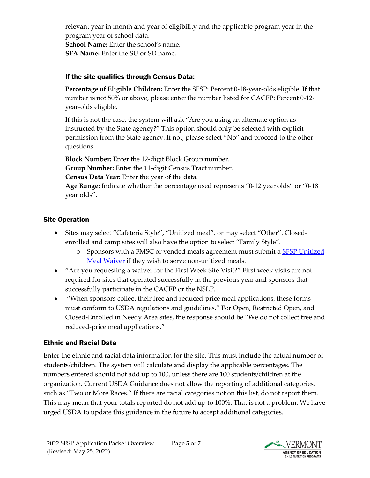relevant year in month and year of eligibility and the applicable program year in the program year of school data.

**School Name:** Enter the school's name.

**SFA Name:** Enter the SU or SD name.

#### If the site qualifies through Census Data:

**Percentage of Eligible Children:** Enter the SFSP: Percent 0-18-year-olds eligible. If that number is not 50% or above, please enter the number listed for CACFP: Percent 0-12 year-olds eligible.

If this is not the case, the system will ask "Are you using an alternate option as instructed by the State agency?" This option should only be selected with explicit permission from the State agency. If not, please select "No" and proceed to the other questions.

**Block Number:** Enter the 12-digit Block Group number. **Group Number:** Enter the 11-digit Census Tract number. **Census Data Year:** Enter the year of the data.

**Age Range:** Indicate whether the percentage used represents "0-12 year olds" or "0-18 year olds".

## Site Operation

- Sites may select "Cafeteria Style", "Unitized meal", or may select "Other". Closedenrolled and camp sites will also have the option to select "Family Style".
	- o Sponsors with a FMSC or vended meals agreement must submit a [SFSP Unitized](https://education.vermont.gov/documents/SFSP-Unitized-Meal-Waiver)  [Meal Waiver](https://education.vermont.gov/documents/SFSP-Unitized-Meal-Waiver) if they wish to serve non-unitized meals.
- "Are you requesting a waiver for the First Week Site Visit?" First week visits are not required for sites that operated successfully in the previous year and sponsors that successfully participate in the CACFP or the NSLP.
- "When sponsors collect their free and reduced-price meal applications, these forms must conform to USDA regulations and guidelines." For Open, Restricted Open, and Closed-Enrolled in Needy Area sites, the response should be "We do not collect free and reduced-price meal applications."

## Ethnic and Racial Data

Enter the ethnic and racial data information for the site. This must include the actual number of students/children. The system will calculate and display the applicable percentages. The numbers entered should not add up to 100, unless there are 100 students/children at the organization. Current USDA Guidance does not allow the reporting of additional categories, such as "Two or More Races." If there are racial categories not on this list, do not report them. This may mean that your totals reported do not add up to 100%. That is not a problem. We have urged USDA to update this guidance in the future to accept additional categories.

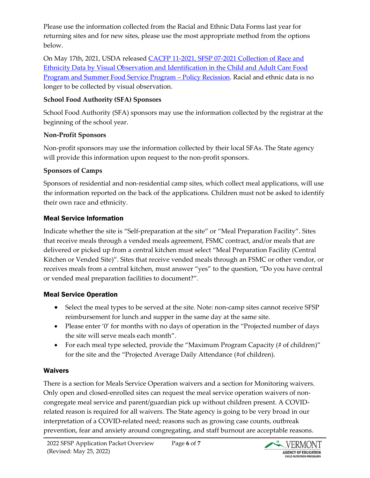Please use the information collected from the Racial and Ethnic Data Forms last year for returning sites and for new sites, please use the most appropriate method from the options below.

On May 17th, 2021, USDA release[d CACFP 11-2021, SFSP 07-2021 Collection of Race and](https://fns-prod.azureedge.net/sites/default/files/resource-files/CACFP11_SFSP07s.pdf)  [Ethnicity Data by Visual Observation and Identification in the Child and Adult Care Food](https://fns-prod.azureedge.net/sites/default/files/resource-files/CACFP11_SFSP07s.pdf)  Program [and Summer Food Service Program – Policy Recission.](https://fns-prod.azureedge.net/sites/default/files/resource-files/CACFP11_SFSP07s.pdf) Racial and ethnic data is no longer to be collected by visual observation.

#### **School Food Authority (SFA) Sponsors**

School Food Authority (SFA) sponsors may use the information collected by the registrar at the beginning of the school year.

#### **Non-Profit Sponsors**

Non-profit sponsors may use the information collected by their local SFAs. The State agency will provide this information upon request to the non-profit sponsors.

#### **Sponsors of Camps**

Sponsors of residential and non-residential camp sites, which collect meal applications, will use the information reported on the back of the applications. Children must not be asked to identify their own race and ethnicity.

#### Meal Service Information

Indicate whether the site is "Self-preparation at the site" or "Meal Preparation Facility". Sites that receive meals through a vended meals agreement, FSMC contract, and/or meals that are delivered or picked up from a central kitchen must select "Meal Preparation Facility (Central Kitchen or Vended Site)". Sites that receive vended meals through an FSMC or other vendor, or receives meals from a central kitchen, must answer "yes" to the question, "Do you have central or vended meal preparation facilities to document?".

#### Meal Service Operation

- Select the meal types to be served at the site. Note: non-camp sites cannot receive SFSP reimbursement for lunch and supper in the same day at the same site.
- Please enter '0' for months with no days of operation in the "Projected number of days the site will serve meals each month".
- For each meal type selected, provide the "Maximum Program Capacity (# of children)" for the site and the "Projected Average Daily Attendance (#of children).

#### Waivers

There is a section for Meals Service Operation waivers and a section for Monitoring waivers. Only open and closed-enrolled sites can request the meal service operation waivers of noncongregate meal service and parent/guardian pick up without children present. A COVIDrelated reason is required for all waivers. The State agency is going to be very broad in our interpretation of a COVID-related need; reasons such as growing case counts, outbreak prevention, fear and anxiety around congregating, and staff burnout are acceptable reasons.